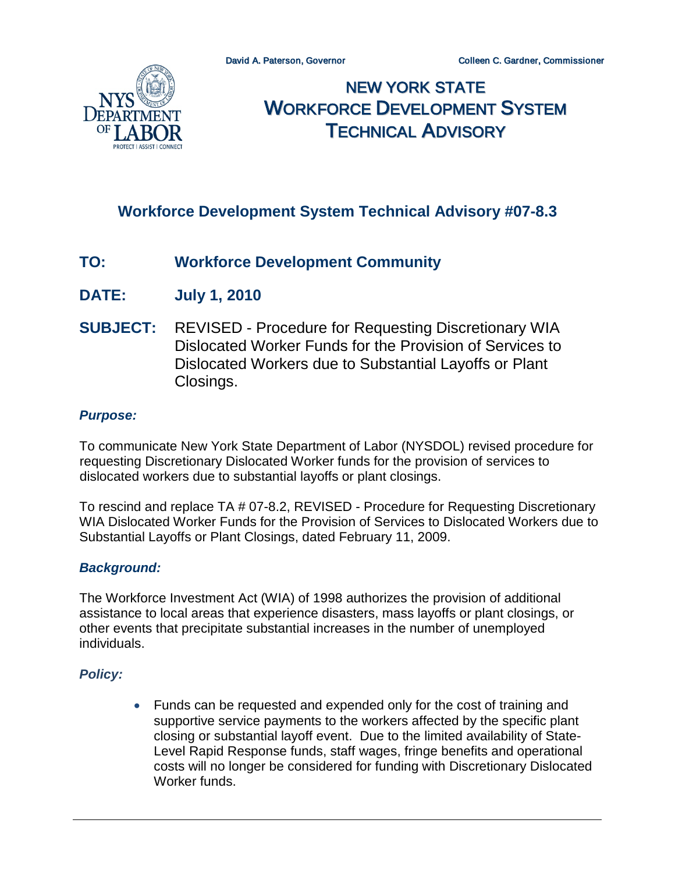

# NEW YORK STATE WORKFORCE DEVELOPMENT SYSTEM TECHNICAL ADVISORY

# **Workforce Development System Technical Advisory #07-8.3**

# **TO: Workforce Development Community**

- **DATE: July 1, 2010**
- **SUBJECT:** REVISED Procedure for Requesting Discretionary WIA Dislocated Worker Funds for the Provision of Services to Dislocated Workers due to Substantial Layoffs or Plant Closings.

#### *Purpose:*

To communicate New York State Department of Labor (NYSDOL) revised procedure for requesting Discretionary Dislocated Worker funds for the provision of services to dislocated workers due to substantial layoffs or plant closings.

To rescind and replace TA # 07-8.2, REVISED - Procedure for Requesting Discretionary WIA Dislocated Worker Funds for the Provision of Services to Dislocated Workers due to Substantial Layoffs or Plant Closings, dated February 11, 2009.

#### *Background:*

The Workforce Investment Act (WIA) of 1998 authorizes the provision of additional assistance to local areas that experience disasters, mass layoffs or plant closings, or other events that precipitate substantial increases in the number of unemployed individuals.

## *Policy:*

• Funds can be requested and expended only for the cost of training and supportive service payments to the workers affected by the specific plant closing or substantial layoff event. Due to the limited availability of State-Level Rapid Response funds, staff wages, fringe benefits and operational costs will no longer be considered for funding with Discretionary Dislocated Worker funds.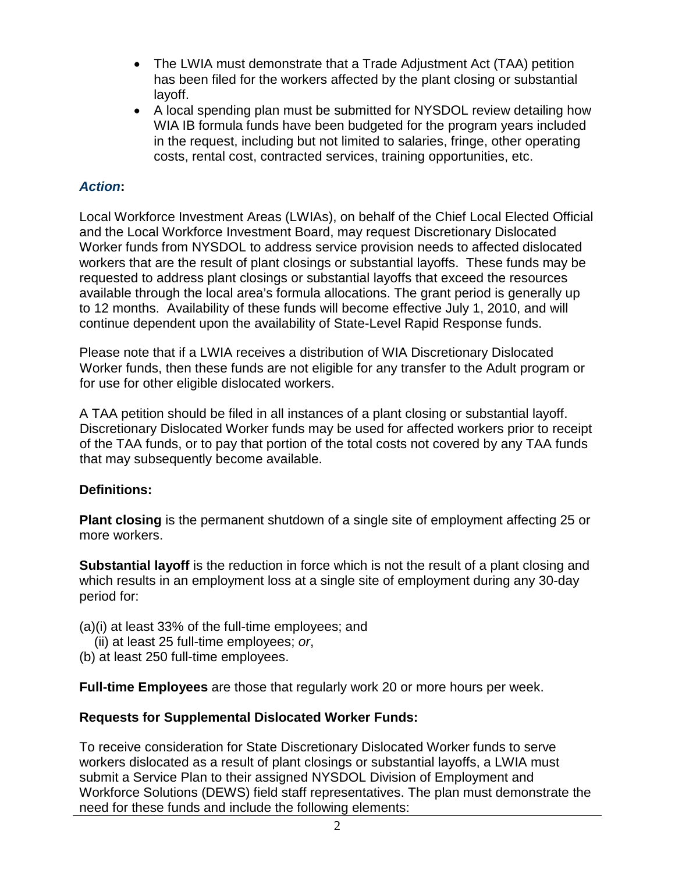- The LWIA must demonstrate that a Trade Adjustment Act (TAA) petition has been filed for the workers affected by the plant closing or substantial layoff.
- A local spending plan must be submitted for NYSDOL review detailing how WIA IB formula funds have been budgeted for the program years included in the request, including but not limited to salaries, fringe, other operating costs, rental cost, contracted services, training opportunities, etc.

# *Action***:**

Local Workforce Investment Areas (LWIAs), on behalf of the Chief Local Elected Official and the Local Workforce Investment Board, may request Discretionary Dislocated Worker funds from NYSDOL to address service provision needs to affected dislocated workers that are the result of plant closings or substantial layoffs. These funds may be requested to address plant closings or substantial layoffs that exceed the resources available through the local area's formula allocations. The grant period is generally up to 12 months. Availability of these funds will become effective July 1, 2010, and will continue dependent upon the availability of State-Level Rapid Response funds.

Please note that if a LWIA receives a distribution of WIA Discretionary Dislocated Worker funds, then these funds are not eligible for any transfer to the Adult program or for use for other eligible dislocated workers.

A TAA petition should be filed in all instances of a plant closing or substantial layoff. Discretionary Dislocated Worker funds may be used for affected workers prior to receipt of the TAA funds, or to pay that portion of the total costs not covered by any TAA funds that may subsequently become available.

## **Definitions:**

**Plant closing** is the permanent shutdown of a single site of employment affecting 25 or more workers.

**Substantial layoff** is the reduction in force which is not the result of a plant closing and which results in an employment loss at a single site of employment during any 30-day period for:

- (a)(i) at least 33% of the full-time employees; and
	- (ii) at least 25 full-time employees; *or*,
- (b) at least 250 full-time employees.

**Full-time Employees** are those that regularly work 20 or more hours per week.

## **Requests for Supplemental Dislocated Worker Funds:**

To receive consideration for State Discretionary Dislocated Worker funds to serve workers dislocated as a result of plant closings or substantial layoffs, a LWIA must submit a Service Plan to their assigned NYSDOL Division of Employment and Workforce Solutions (DEWS) field staff representatives. The plan must demonstrate the need for these funds and include the following elements: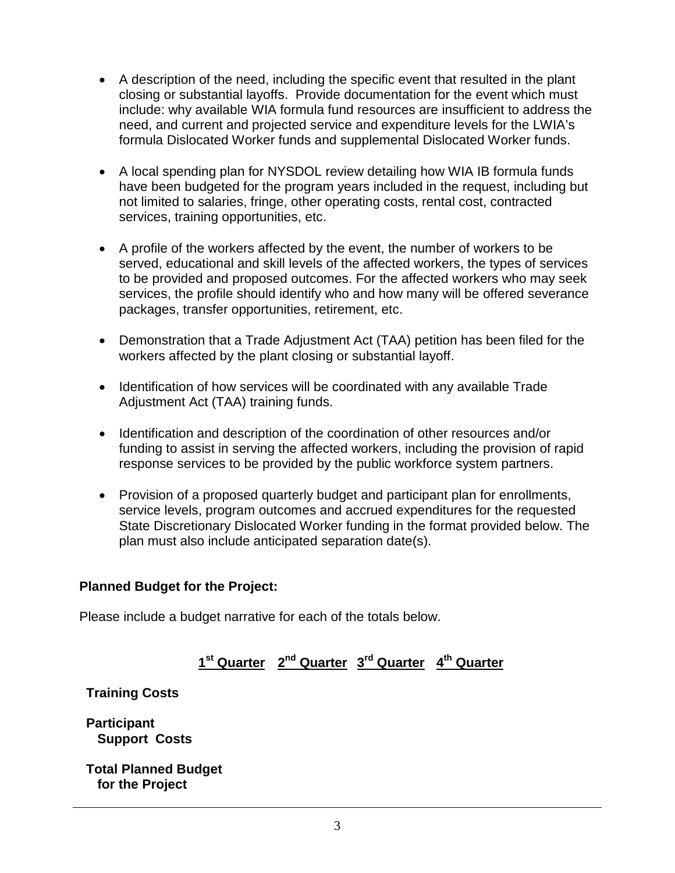- A description of the need, including the specific event that resulted in the plant closing or substantial layoffs. Provide documentation for the event which must include: why available WIA formula fund resources are insufficient to address the need, and current and projected service and expenditure levels for the LWIA's formula Dislocated Worker funds and supplemental Dislocated Worker funds.
- A local spending plan for NYSDOL review detailing how WIA IB formula funds have been budgeted for the program years included in the request, including but not limited to salaries, fringe, other operating costs, rental cost, contracted services, training opportunities, etc.
- A profile of the workers affected by the event, the number of workers to be served, educational and skill levels of the affected workers, the types of services to be provided and proposed outcomes. For the affected workers who may seek services, the profile should identify who and how many will be offered severance packages, transfer opportunities, retirement, etc.
- Demonstration that a Trade Adjustment Act (TAA) petition has been filed for the workers affected by the plant closing or substantial layoff.
- Identification of how services will be coordinated with any available Trade Adjustment Act (TAA) training funds.
- Identification and description of the coordination of other resources and/or funding to assist in serving the affected workers, including the provision of rapid response services to be provided by the public workforce system partners.
- Provision of a proposed quarterly budget and participant plan for enrollments, service levels, program outcomes and accrued expenditures for the requested State Discretionary Dislocated Worker funding in the format provided below. The plan must also include anticipated separation date(s).

## **Planned Budget for the Project:**

Please include a budget narrative for each of the totals below.

**1st Quarter 2nd Quarter 3rd Quarter 4th Quarter**

**Training Costs**

**Participant Support Costs**

**Total Planned Budget for the Project**